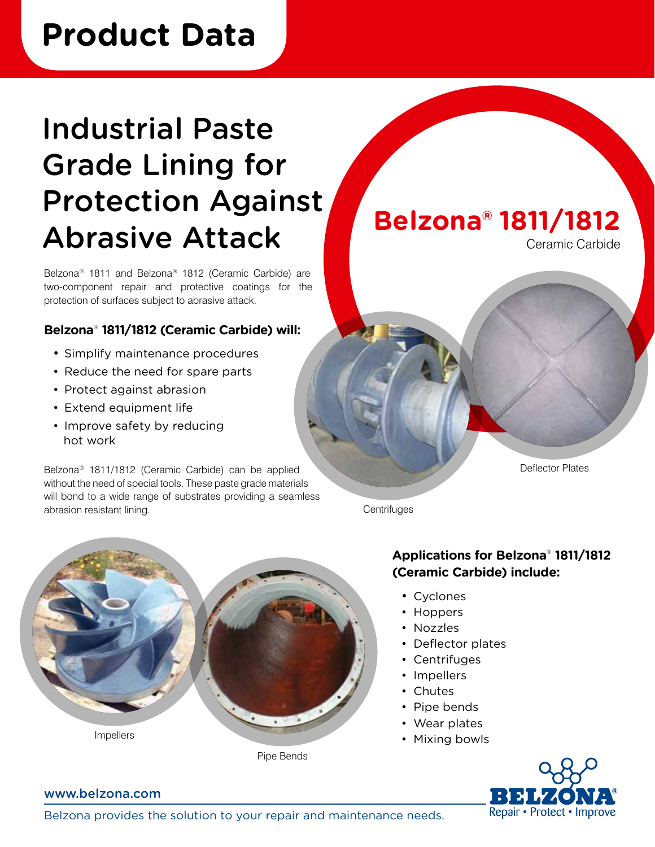## **Product Data**

# Industrial Paste Grade Lining for Protection Against Abrasive Attack

Belzona® 1811 and Belzona® 1812 (Ceramic Carbide) are two-component repair and protective coatings for the protection of surfaces subject to abrasive attack.

### **Belzona**®  **1811/1812 (Ceramic Carbide) will:**

- Simplify maintenance procedures
- Reduce the need for spare parts
- Protect against abrasion
- Extend equipment life
- Improve safety by reducing hot work

Belzona® 1811/1812 (Ceramic Carbide) can be applied without the need of special tools. These paste grade materials will bond to a wide range of substrates providing a seamless abrasion resistant lining.



Ceramic Carbide

Deflector Plates

**Centrifuges** 



## **Applications for Belzona**®  **1811/1812 (Ceramic Carbide) include:**

- Cyclones
- Hoppers
- Nozzles
- • Deflector plates
- • Centrifuges
- • Impellers
- Chutes
- Pipe bends
- • Wear plates
- Mixing bowls



#### www.belzona.com

Belzona provides the solution to your repair and maintenance needs.